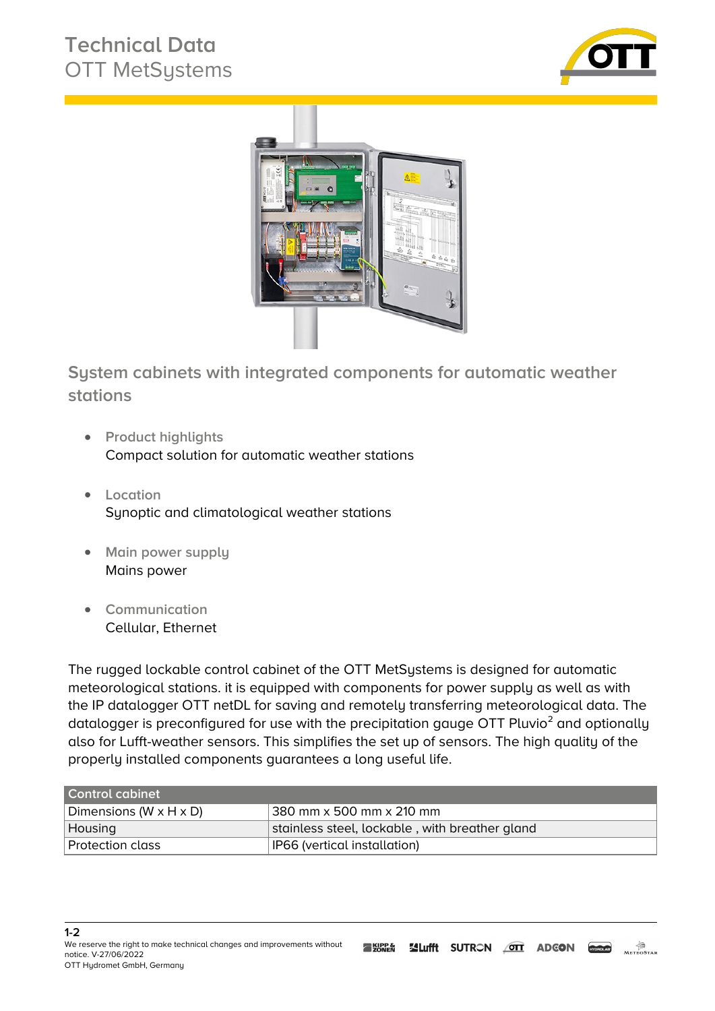## **Technical Data** OTT MetSystems





**System cabinets with integrated components for automatic weather stations**

- **Product highlights** Compact solution for automatic weather stations
- **Location** Synoptic and climatological weather stations
- **Main power supply** Mains power
- **Communication** Cellular, Ethernet

The rugged lockable control cabinet of the OTT MetSystems is designed for automatic meteorological stations. it is equipped with components for power supply as well as with the IP datalogger OTT netDL for saving and remotely transferring meteorological data. The datalogger is preconfigured for use with the precipitation gauge OTT Pluvio<sup>2</sup> and optionally also for Lufft-weather sensors. This simplifies the set up of sensors. The high quality of the properly installed components guarantees a long useful life.

| <b>Control cabinet</b>               |                                                |
|--------------------------------------|------------------------------------------------|
| Dimensions (W $\times$ H $\times$ D) | 380 mm x 500 mm x 210 mm                       |
| Housing                              | stainless steel, lockable, with breather gland |
| Protection class                     | IP66 (vertical installation)                   |